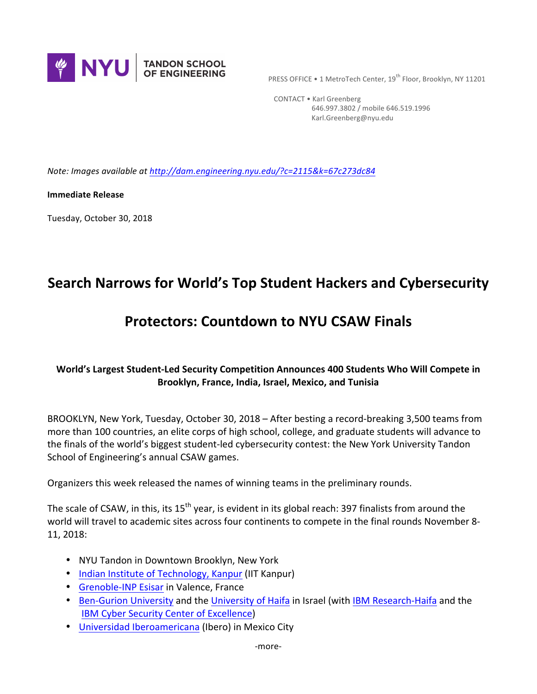

PRESS OFFICE • 1 MetroTech Center, 19<sup>th</sup> Floor, Brooklyn, NY 11201

CONTACT . Karl Greenberg 646.997.3802 / mobile 646.519.1996 Karl.Greenberg@nyu.edu

*Note: Images available at http://dam.engineering.nyu.edu/?c=2115&k=67c273dc84* 

**Immediate Release** 

Tuesday, October 30, 2018

# **Search Narrows for World's Top Student Hackers and Cybersecurity**

# **Protectors: Countdown to NYU CSAW Finals**

# **World's Largest Student-Led Security Competition Announces 400 Students Who Will Compete in Brooklyn, France, India, Israel, Mexico, and Tunisia**

BROOKLYN, New York, Tuesday, October 30, 2018 - After besting a record-breaking 3,500 teams from more than 100 countries, an elite corps of high school, college, and graduate students will advance to the finals of the world's biggest student-led cybersecurity contest: the New York University Tandon School of Engineering's annual CSAW games.

Organizers this week released the names of winning teams in the preliminary rounds.

The scale of CSAW, in this, its  $15<sup>th</sup>$  year, is evident in its global reach: 397 finalists from around the world will travel to academic sites across four continents to compete in the final rounds November 8-11, 2018:

- NYU Tandon in Downtown Brooklyn, New York
- Indian Institute of Technology, Kanpur (IIT Kanpur)
- Grenoble-INP Esisar in Valence, France
- Ben-Gurion University and the University of Haifa in Israel (with IBM Research-Haifa and the **IBM Cyber Security Center of Excellence)**
- Universidad Iberoamericana (Ibero) in Mexico City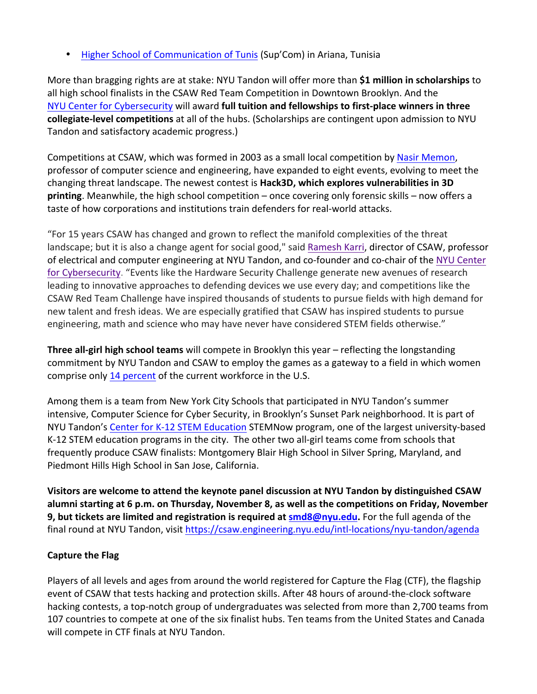• Higher School of Communication of Tunis (Sup'Com) in Ariana, Tunisia

More than bragging rights are at stake: NYU Tandon will offer more than \$1 million in scholarships to all high school finalists in the CSAW Red Team Competition in Downtown Brooklyn. And the NYU Center for Cybersecurity will award full tuition and fellowships to first-place winners in three **collegiate-level competitions** at all of the hubs. (Scholarships are contingent upon admission to NYU Tandon and satisfactory academic progress.)

Competitions at CSAW, which was formed in 2003 as a small local competition by Nasir Memon, professor of computer science and engineering, have expanded to eight events, evolving to meet the changing threat landscape. The newest contest is **Hack3D, which explores vulnerabilities in 3D printing**. Meanwhile, the high school competition – once covering only forensic skills – now offers a taste of how corporations and institutions train defenders for real-world attacks.

"For 15 years CSAW has changed and grown to reflect the manifold complexities of the threat landscape; but it is also a change agent for social good," said Ramesh Karri, director of CSAW, professor of electrical and computer engineering at NYU Tandon, and co-founder and co-chair of the NYU Center for Cybersecurity. "Events like the Hardware Security Challenge generate new avenues of research leading to innovative approaches to defending devices we use every day; and competitions like the CSAW Red Team Challenge have inspired thousands of students to pursue fields with high demand for new talent and fresh ideas. We are especially gratified that CSAW has inspired students to pursue engineering, math and science who may have never have considered STEM fields otherwise."

**Three all-girl high school teams** will compete in Brooklyn this year – reflecting the longstanding commitment by NYU Tandon and CSAW to employ the games as a gateway to a field in which women comprise only 14 percent of the current workforce in the U.S.

Among them is a team from New York City Schools that participated in NYU Tandon's summer intensive, Computer Science for Cyber Security, in Brooklyn's Sunset Park neighborhood. It is part of NYU Tandon's Center for K-12 STEM Education STEMNow program, one of the largest university-based K-12 STEM education programs in the city. The other two all-girl teams come from schools that frequently produce CSAW finalists: Montgomery Blair High School in Silver Spring, Maryland, and Piedmont Hills High School in San Jose, California.

**Visitors are welcome to attend the keynote panel discussion at NYU Tandon by distinguished CSAW alumni starting at 6 p.m. on Thursday, November 8, as well as the competitions on Friday, November 9, but tickets are limited and registration is required at <b>smd8@nyu.edu.** For the full agenda of the final round at NYU Tandon, visit https://csaw.engineering.nyu.edu/intl-locations/nyu-tandon/agenda

# **Capture the Flag**

Players of all levels and ages from around the world registered for Capture the Flag (CTF), the flagship event of CSAW that tests hacking and protection skills. After 48 hours of around-the-clock software hacking contests, a top-notch group of undergraduates was selected from more than 2,700 teams from 107 countries to compete at one of the six finalist hubs. Ten teams from the United States and Canada will compete in CTF finals at NYU Tandon.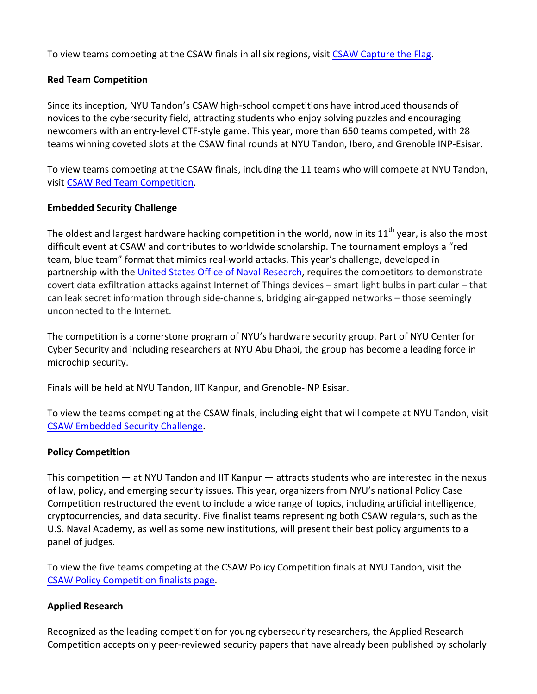To view teams competing at the CSAW finals in all six regions, visit CSAW Capture the Flag.

## **Red Team Competition**

Since its inception, NYU Tandon's CSAW high-school competitions have introduced thousands of novices to the cybersecurity field, attracting students who enjoy solving puzzles and encouraging newcomers with an entry-level CTF-style game. This year, more than 650 teams competed, with 28 teams winning coveted slots at the CSAW final rounds at NYU Tandon, Ibero, and Grenoble INP-Esisar.

To view teams competing at the CSAW finals, including the 11 teams who will compete at NYU Tandon, visit CSAW Red Team Competition.

#### **Embedded Security Challenge**

The oldest and largest hardware hacking competition in the world, now in its  $11^{th}$  year, is also the most difficult event at CSAW and contributes to worldwide scholarship. The tournament employs a "red team, blue team" format that mimics real-world attacks. This year's challenge, developed in partnership with the United States Office of Naval Research, requires the competitors to demonstrate covert data exfiltration attacks against Internet of Things devices – smart light bulbs in particular – that can leak secret information through side-channels, bridging air-gapped networks – those seemingly unconnected to the Internet.

The competition is a cornerstone program of NYU's hardware security group. Part of NYU Center for Cyber Security and including researchers at NYU Abu Dhabi, the group has become a leading force in microchip security.

Finals will be held at NYU Tandon, IIT Kanpur, and Grenoble-INP Esisar.

To view the teams competing at the CSAW finals, including eight that will compete at NYU Tandon, visit CSAW Embedded Security Challenge.

#### **Policy Competition**

This competition  $-$  at NYU Tandon and IIT Kanpur  $-$  attracts students who are interested in the nexus of law, policy, and emerging security issues. This year, organizers from NYU's national Policy Case Competition restructured the event to include a wide range of topics, including artificial intelligence, cryptocurrencies, and data security. Five finalist teams representing both CSAW regulars, such as the U.S. Naval Academy, as well as some new institutions, will present their best policy arguments to a panel of judges.

To view the five teams competing at the CSAW Policy Competition finals at NYU Tandon, visit the CSAW Policy Competition finalists page.

# **Applied Research**

Recognized as the leading competition for young cybersecurity researchers, the Applied Research Competition accepts only peer-reviewed security papers that have already been published by scholarly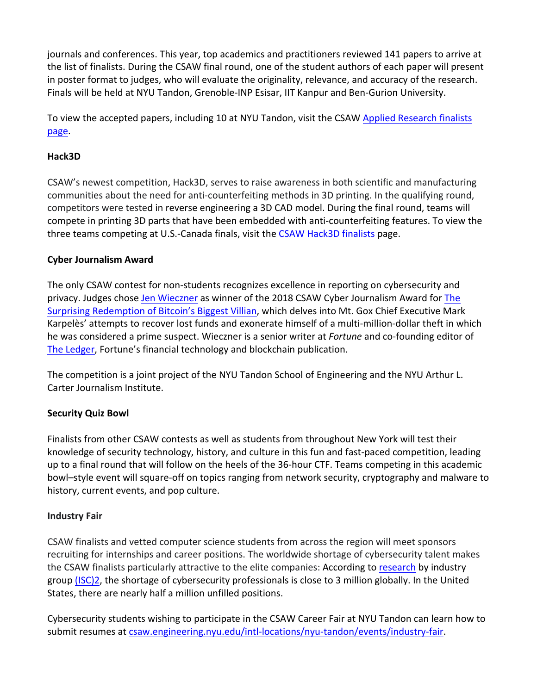journals and conferences. This year, top academics and practitioners reviewed 141 papers to arrive at the list of finalists. During the CSAW final round, one of the student authors of each paper will present in poster format to judges, who will evaluate the originality, relevance, and accuracy of the research. Finals will be held at NYU Tandon, Grenoble-INP Esisar, IIT Kanpur and Ben-Gurion University.

To view the accepted papers, including 10 at NYU Tandon, visit the CSAW Applied Research finalists page.

## **Hack3D**

CSAW's newest competition, Hack3D, serves to raise awareness in both scientific and manufacturing communities about the need for anti-counterfeiting methods in 3D printing. In the qualifying round, competitors were tested in reverse engineering a 3D CAD model. During the final round, teams will compete in printing 3D parts that have been embedded with anti-counterfeiting features. To view the three teams competing at U.S.-Canada finals, visit the CSAW Hack3D finalists page.

# **Cyber Journalism Award**

The only CSAW contest for non-students recognizes excellence in reporting on cybersecurity and privacy. Judges chose Jen Wieczner as winner of the 2018 CSAW Cyber Journalism Award for The Surprising Redemption of Bitcoin's Biggest Villian, which delves into Mt. Gox Chief Executive Mark Karpelès' attempts to recover lost funds and exonerate himself of a multi-million-dollar theft in which he was considered a prime suspect. Wieczner is a senior writer at *Fortune* and co-founding editor of The Ledger, Fortune's financial technology and blockchain publication.

The competition is a joint project of the NYU Tandon School of Engineering and the NYU Arthur L. Carter Journalism Institute.

# **Security Quiz Bowl**

Finalists from other CSAW contests as well as students from throughout New York will test their knowledge of security technology, history, and culture in this fun and fast-paced competition, leading up to a final round that will follow on the heels of the 36-hour CTF. Teams competing in this academic bowl–style event will square-off on topics ranging from network security, cryptography and malware to history, current events, and pop culture.

# **Industry Fair**

CSAW finalists and vetted computer science students from across the region will meet sponsors recruiting for internships and career positions. The worldwide shortage of cybersecurity talent makes the CSAW finalists particularly attractive to the elite companies: According to research by industry group (ISC)2, the shortage of cybersecurity professionals is close to 3 million globally. In the United States, there are nearly half a million unfilled positions.

Cybersecurity students wishing to participate in the CSAW Career Fair at NYU Tandon can learn how to submit resumes at csaw.engineering.nyu.edu/intl-locations/nyu-tandon/events/industry-fair.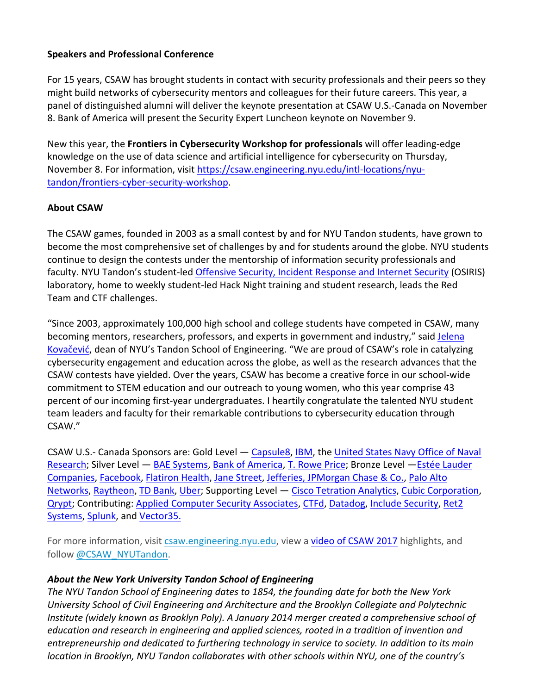# **Speakers and Professional Conference**

For 15 years, CSAW has brought students in contact with security professionals and their peers so they might build networks of cybersecurity mentors and colleagues for their future careers. This year, a panel of distinguished alumni will deliver the keynote presentation at CSAW U.S.-Canada on November 8. Bank of America will present the Security Expert Luncheon keynote on November 9.

New this year, the Frontiers in Cybersecurity Workshop for professionals will offer leading-edge knowledge on the use of data science and artificial intelligence for cybersecurity on Thursday, November 8. For information, visit https://csaw.engineering.nyu.edu/intl-locations/nyutandon/frontiers-cyber-security-workshop.

#### **About CSAW**

The CSAW games, founded in 2003 as a small contest by and for NYU Tandon students, have grown to become the most comprehensive set of challenges by and for students around the globe. NYU students continue to design the contests under the mentorship of information security professionals and faculty. NYU Tandon's student-led Offensive Security, Incident Response and Internet Security (OSIRIS) laboratory, home to weekly student-led Hack Night training and student research, leads the Red Team and CTF challenges.

"Since 2003, approximately 100,000 high school and college students have competed in CSAW, many becoming mentors, researchers, professors, and experts in government and industry," said Jelena Kovačević, dean of NYU's Tandon School of Engineering. "We are proud of CSAW's role in catalyzing cybersecurity engagement and education across the globe, as well as the research advances that the CSAW contests have yielded. Over the years, CSAW has become a creative force in our school-wide commitment to STEM education and our outreach to young women, who this year comprise 43 percent of our incoming first-year undergraduates. I heartily congratulate the talented NYU student team leaders and faculty for their remarkable contributions to cybersecurity education through CSAW."

CSAW U.S.- Canada Sponsors are: Gold Level — Capsule8, IBM, the United States Navy Office of Naval Research; Silver Level — BAE Systems, Bank of America, T. Rowe Price; Bronze Level — Estée Lauder Companies, Facebook, Flatiron Health, Jane Street, Jefferies, JPMorgan Chase & Co., Palo Alto Networks, Raytheon, TD Bank, Uber; Supporting Level - Cisco Tetration Analytics, Cubic Corporation, Qrypt; Contributing: Applied Computer Security Associates, CTFd, Datadog, Include Security, Ret2 Systems, Splunk, and Vector35.

For more information, visit csaw.engineering.nyu.edu, view a video of CSAW 2017 highlights, and follow @CSAW\_NYUTandon.

#### About the New York University Tandon School of Engineering

The NYU Tandon School of Engineering dates to 1854, the founding date for both the New York *University School of Civil Engineering and Architecture and the Brooklyn Collegiate and Polytechnic Institute* (widely known as Brooklyn Poly). A January 2014 merger created a comprehensive school of *education* and research in engineering and applied sciences, rooted in a tradition of invention and *entrepreneurship* and dedicated to furthering technology in service to society. In addition to its main *location in Brooklyn, NYU Tandon collaborates with other schools within NYU, one of the country's*